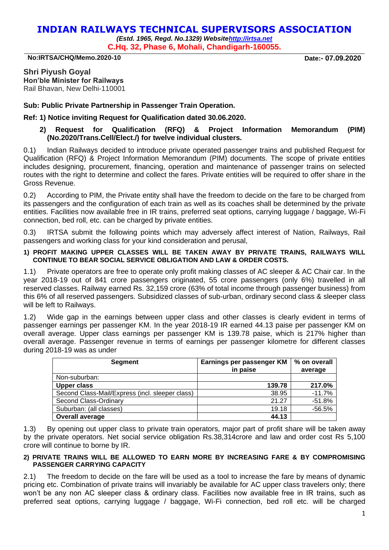# **INDIAN RAILWAYS TECHNICAL SUPERVISORS ASSOCIATION**

*(Estd. 1965, Regd. No.1329) Websit[ehttp://irtsa.net](http://irtsa.net/)* **C.Hq. 32, Phase 6, Mohali, Chandigarh-160055.**

**No:IRTSA/CHQ/Memo.2020-10 Date:- 07.09.2020**

**Shri Piyush Goyal Hon'ble Minister for Railways** Rail Bhavan, New Delhi-110001

**Sub: Public Private Partnership in Passenger Train Operation.** 

**Ref: 1) Notice inviting Request for Qualification dated 30.06.2020.**

# **2) Request for Qualification (RFQ) & Project Information Memorandum (PIM) (No.2020/Trans.Cell/Elect./) for twelve individual clusters.**

0.1) Indian Railways decided to introduce private operated passenger trains and published Request for Qualification (RFQ) & Project Information Memorandum (PIM) documents. The scope of private entities includes designing, procurement, financing, operation and maintenance of passenger trains on selected routes with the right to determine and collect the fares. Private entities will be required to offer share in the Gross Revenue.

0.2) According to PIM, the Private entity shall have the freedom to decide on the fare to be charged from its passengers and the configuration of each train as well as its coaches shall be determined by the private entities. Facilities now available free in IR trains, preferred seat options, carrying luggage / baggage, Wi-Fi connection, bed roll, etc. can be charged by private entities.

0.3) IRTSA submit the following points which may adversely affect interest of Nation, Railways, Rail passengers and working class for your kind consideration and perusal,

### **1) PROFIT MAKING UPPER CLASSES WILL BE TAKEN AWAY BY PRIVATE TRAINS, RAILWAYS WILL CONTINUE TO BEAR SOCIAL SERVICE OBLIGATION AND LAW & ORDER COSTS.**

1.1) Private operators are free to operate only profit making classes of AC sleeper & AC Chair car. In the year 2018-19 out of 841 crore passengers originated, 55 crore passengers (only 6%) travelled in all reserved classes. Railway earned Rs. 32,159 crore (63% of total income through passenger business) from this 6% of all reserved passengers. Subsidized classes of sub-urban, ordinary second class & sleeper class will be left to Railways.

1.2) Wide gap in the earnings between upper class and other classes is clearly evident in terms of passenger earnings per passenger KM. In the year 2018-19 IR earned 44.13 paise per passenger KM on overall average. Upper class earnings per passenger KM is 139.78 paise, which is 217% higher than overall average. Passenger revenue in terms of earnings per passenger kilometre for different classes during 2018-19 was as under

| Segment                                         | Earnings per passenger KM<br>in paise | % on overall<br>average |  |
|-------------------------------------------------|---------------------------------------|-------------------------|--|
| Non-suburban:                                   |                                       |                         |  |
| Upper class                                     | 139.78                                | 217.0%                  |  |
| Second Class-Mail/Express (incl. sleeper class) | 38.95                                 | $-11.7%$                |  |
| Second Class-Ordinary                           | 21.27                                 | $-51.8%$                |  |
| Suburban: (all classes)                         | 19.18                                 | $-56.5%$                |  |
| Overall average                                 | 44.13                                 |                         |  |

1.3) By opening out upper class to private train operators, major part of profit share will be taken away by the private operators. Net social service obligation Rs.38,314crore and law and order cost Rs 5,100 crore will continue to borne by IR.

#### **2) PRIVATE TRAINS WILL BE ALLOWED TO EARN MORE BY INCREASING FARE & BY COMPROMISING PASSENGER CARRYING CAPACITY**

2.1) The freedom to decide on the fare will be used as a tool to increase the fare by means of dynamic pricing etc. Combination of private trains will invariably be available for AC upper class travelers only; there won't be any non AC sleeper class & ordinary class. Facilities now available free in IR trains, such as preferred seat options, carrying luggage / baggage, Wi-Fi connection, bed roll etc. will be charged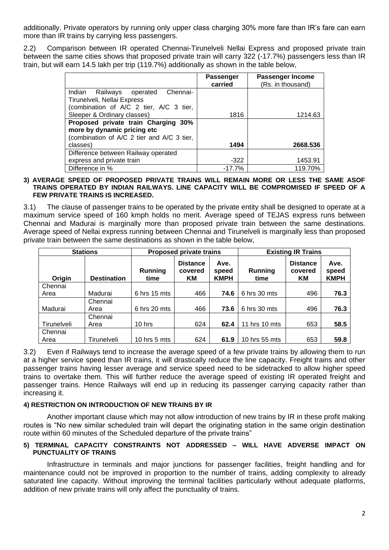additionally. Private operators by running only upper class charging 30% more fare than IR's fare can earn more than IR trains by carrying less passengers.

2.2) Comparison between IR operated Chennai-Tirunelveli Nellai Express and proposed private train between the same cities shows that proposed private train will carry 322 (-17.7%) passengers less than IR train, but will earn 14.5 lakh per trip (119.7%) additionally as shown in the table below,

|                                            | Passenger<br>carried | Passenger Income<br>(Rs. in thousand) |
|--------------------------------------------|----------------------|---------------------------------------|
| Indian Railways operated Chennai-          |                      |                                       |
| Tirunelveli, Nellai Express                |                      |                                       |
| (combination of A/C 2 tier, A/C 3 tier,    |                      |                                       |
| Sleeper & Ordinary classes)                | 1816                 | 1214.63                               |
| Proposed private train Charging 30%        |                      |                                       |
| more by dynamic pricing etc                |                      |                                       |
| (combination of A/C 2 tier and A/C 3 tier, |                      |                                       |
| classes)                                   | 1494                 | 2668.536                              |
| Difference between Railway operated        |                      |                                       |
| express and private train                  | $-322$               | 1453.91                               |
| Difference in %                            | $-17.7%$             | 119.70%                               |

#### **3) AVERAGE SPEED OF PROPOSED PRIVATE TRAINS WILL REMAIN MORE OR LESS THE SAME ASOF TRAINS OPERATED BY INDIAN RAILWAYS. LINE CAPACITY WILL BE COMPROMISED IF SPEED OF A FEW PRIVATE TRAINS IS INCREASED.**

3.1) The clause of passenger trains to be operated by the private entity shall be designed to operate at a maximum service speed of 160 kmph holds no merit. Average speed of TEJAS express runs between Chennai and Madurai is marginally more than proposed private train between the same destinations. Average speed of Nellai express running between Chennai and Tirunelveli is marginally less than proposed private train between the same destinations as shown in the table below,

| <b>Stations</b> |                    | <b>Proposed private trains</b> |                                  | <b>Existing IR Trains</b>    |                 |                                  |                              |
|-----------------|--------------------|--------------------------------|----------------------------------|------------------------------|-----------------|----------------------------------|------------------------------|
| Origin          | <b>Destination</b> | Running<br>time                | <b>Distance</b><br>covered<br>KM | Ave.<br>speed<br><b>KMPH</b> | Running<br>time | <b>Distance</b><br>covered<br>KМ | Ave.<br>speed<br><b>KMPH</b> |
| Chennai         |                    |                                |                                  |                              |                 |                                  |                              |
| Area            | Madurai            | 6 hrs 15 mts                   | 466                              | 74.6                         | 6 hrs 30 mts    | 496                              | 76.3                         |
|                 | Chennai            |                                |                                  |                              |                 |                                  |                              |
| Madurai         | Area               | $6$ hrs 20 mts                 | 466                              | 73.6                         | $6$ hrs 30 mts  | 496                              | 76.3                         |
|                 | Chennai            |                                |                                  |                              |                 |                                  |                              |
| Tirunelveli     | Area               | $10$ hrs                       | 624                              | 62.4                         | 11 hrs 10 mts   | 653                              | 58.5                         |
| Chennai         |                    |                                |                                  |                              |                 |                                  |                              |
| Area            | Tirunelveli        | 10 hrs $5$ mts                 | 624                              | 61.9                         | 10 hrs 55 mts   | 653                              | 59.8                         |

3.2) Even if Railways tend to increase the average speed of a few private trains by allowing them to run at a higher service speed than IR trains, it will drastically reduce the line capacity. Freight trains and other passenger trains having lesser average and service speed need to be sidetracked to allow higher speed trains to overtake them. This will further reduce the average speed of existing IR operated freight and passenger trains. Hence Railways will end up in reducing its passenger carrying capacity rather than increasing it.

# **4) RESTRICTION ON INTRODUCTION OF NEW TRAINS BY IR**

Another important clause which may not allow introduction of new trains by IR in these profit making routes is "No new similar scheduled train will depart the originating station in the same origin destination route within 60 minutes of the Scheduled departure of the private trains"

# **5) TERMINAL CAPACITY CONSTRAINTS NOT ADDRESSED – WILL HAVE ADVERSE IMPACT ON PUNCTUALITY OF TRAINS**

Infrastructure in terminals and major junctions for passenger facilities, freight handling and for maintenance could not be improved in proportion to the number of trains, adding complexity to already saturated line capacity. Without improving the terminal facilities particularly without adequate platforms, addition of new private trains will only affect the punctuality of trains.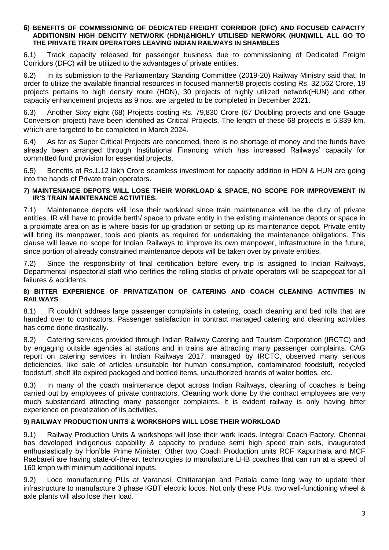#### **6) BENEFITS OF COMMISSIONING OF DEDICATED FREIGHT CORRIDOR (DFC) AND FOCUSED CAPACITY ADDITIONSIN HIGH DENCITY NETWORK (HDN)&HIGHLY UTILISED NERWORK (HUN)WILL ALL GO TO THE PRIVATE TRAIN OPERATORS LEAVING INDIAN RAILWAYS IN SHAMBLES**

6.1) Track capacity released for passenger business due to commissioning of Dedicated Freight Corridors (DFC) will be utilized to the advantages of private entities.

6.2) In its submission to the Parliamentary Standing Committee (2019-20) Railway Ministry said that, In order to utilize the available financial resources in focused manner58 projects costing Rs. 32,562 Crore, 19 projects pertains to high density route (HDN), 30 projects of highly utilized network(HUN) and other capacity enhancement projects as 9 nos. are targeted to be completed in December 2021.

6.3) Another Sixty eight (68) Projects costing Rs. 79,830 Crore (67 Doubling projects and one Gauge Conversion project) have been identified as Critical Projects. The length of these 68 projects is 5,839 km, which are targeted to be completed in March 2024.

6.4) As far as Super Critical Projects are concerned, there is no shortage of money and the funds have already been arranged through Institutional Financing which has increased Railways' capacity for committed fund provision for essential projects.

6.5) Benefits of Rs.1.12 lakh Crore seamless investment for capacity addition in HDN & HUN are going into the hands of Private train operators.

### **7) MAINTENANCE DEPOTS WILL LOSE THEIR WORKLOAD & SPACE, NO SCOPE FOR IMPROVEMENT IN IR'S TRAIN MAINTENANCE ACTIVITIES.**

7.1) Maintenance depots will lose their workload since train maintenance will be the duty of private entities. IR will have to provide berth/ space to private entity in the existing maintenance depots or space in a proximate area on as is where basis for up-gradation or setting up its maintenance depot. Private entity will bring its manpower, tools and plants as required for undertaking the maintenance obligations. This clause will leave no scope for Indian Railways to improve its own manpower, infrastructure in the future, since portion of already constrained maintenance depots will be taken over by private entities.

7.2) Since the responsibility of final certification before every trip is assigned to Indian Railways, Departmental inspectorial staff who certifies the rolling stocks of private operators will be scapegoat for all failures & accidents.

# **8) BITTER EXPERIENCE OF PRIVATIZATION OF CATERING AND COACH CLEANING ACTIVITIES IN RAILWAYS**

8.1) IR couldn't address large passenger complaints in catering, coach cleaning and bed rolls that are handed over to contractors. Passenger satisfaction in contract managed catering and cleaning activities has come done drastically.

8.2) Catering services provided through Indian Railway Catering and Tourism Corporation (IRCTC) and by engaging outside agencies at stations and in trains are attracting many passenger complaints. CAG report on catering services in Indian Railways 2017, managed by IRCTC, observed many serious deficiencies, like sale of articles unsuitable for human consumption, contaminated foodstuff, recycled foodstuff, shelf life expired packaged and bottled items, unauthorized brands of water bottles, etc.

8.3) In many of the coach maintenance depot across Indian Railways, cleaning of coaches is being carried out by employees of private contractors. Cleaning work done by the contract employees are very much substandard attracting many passenger complaints. It is evident railway is only having bitter experience on privatization of its activities.

# **9) RAILWAY PRODUCTION UNITS & WORKSHOPS WILL LOSE THEIR WORKLOAD**

9.1) Railway Production Units & workshops will lose their work loads. Integral Coach Factory, Chennai has developed indigenous capability & capacity to produce semi high speed train sets, inaugurated enthusiastically by Hon'ble Prime Minister. Other two Coach Production units RCF Kapurthala and MCF Raebareli are having state-of-the-art technologies to manufacture LHB coaches that can run at a speed of 160 kmph with minimum additional inputs.

9.2) Loco manufacturing PUs at Varanasi, Chittaranjan and Patiala came long way to update their infrastructure to manufacture 3 phase IGBT electric locos. Not only these PUs, two well-functioning wheel & axle plants will also lose their load.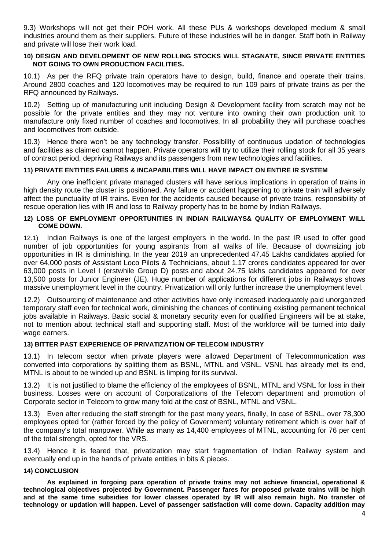9.3) Workshops will not get their POH work. All these PUs & workshops developed medium & small industries around them as their suppliers. Future of these industries will be in danger. Staff both in Railway and private will lose their work load.

# **10) DESIGN AND DEVELOPMENT OF NEW ROLLING STOCKS WILL STAGNATE, SINCE PRIVATE ENTITIES NOT GOING TO OWN PRODUCTION FACILITIES.**

10.1) As per the RFQ private train operators have to design, build, finance and operate their trains. Around 2800 coaches and 120 locomotives may be required to run 109 pairs of private trains as per the RFQ announced by Railways.

10.2) Setting up of manufacturing unit including Design & Development facility from scratch may not be possible for the private entities and they may not venture into owning their own production unit to manufacture only fixed number of coaches and locomotives. In all probability they will purchase coaches and locomotives from outside.

10.3) Hence there won't be any technology transfer. Possibility of continuous updation of technologies and facilities as claimed cannot happen. Private operators will try to utilize their rolling stock for all 35 years of contract period, depriving Railways and its passengers from new technologies and facilities.

# **11) PRIVATE ENTITIES FAILURES & INCAPABILITIES WILL HAVE IMPACT ON ENTIRE IR SYSTEM**

Any one inefficient private managed clusters will have serious implications in operation of trains in high density route the cluster is positioned. Any failure or accident happening to private train will adversely affect the punctuality of IR trains. Even for the accidents caused because of private trains, responsibility of rescue operation lies with IR and loss to Railway property has to be borne by Indian Railways.

#### **12) LOSS OF EMPLOYMENT OPPORTUNITIES IN INDIAN RAILWAYS& QUALITY OF EMPLOYMENT WILL COME DOWN.**

12.1) Indian Railways is one of the largest employers in the world. In the past IR used to offer good number of job opportunities for young aspirants from all walks of life. Because of downsizing job opportunities in IR is diminishing. In the year 2019 an unprecedented 47.45 Lakhs candidates applied for over 64,000 posts of Assistant Loco Pilots & Technicians, about 1.17 crores candidates appeared for over 63,000 posts in Level I (erstwhile Group D) posts and about 24.75 lakhs candidates appeared for over 13,500 posts for Junior Engineer (JE). Huge number of applications for different jobs in Railways shows massive unemployment level in the country. Privatization will only further increase the unemployment level.

12.2) Outsourcing of maintenance and other activities have only increased inadequately paid unorganized temporary staff even for technical work, diminishing the chances of continuing existing permanent technical jobs available in Railways. Basic social & monetary security even for qualified Engineers will be at stake, not to mention about technical staff and supporting staff. Most of the workforce will be turned into daily wage earners.

#### **13) BITTER PAST EXPERIENCE OF PRIVATIZATION OF TELECOM INDUSTRY**

13.1) In telecom sector when private players were allowed Department of Telecommunication was converted into corporations by splitting them as BSNL, MTNL and VSNL. VSNL has already met its end, MTNL is about to be winded up and BSNL is limping for its survival.

13.2) It is not justified to blame the efficiency of the employees of BSNL, MTNL and VSNL for loss in their business. Losses were on account of Corporatizations of the Telecom department and promotion of Corporate sector in Telecom to grow many fold at the cost of BSNL, MTNL and VSNL.

13.3) Even after reducing the staff strength for the past many years, finally, In case of BSNL, over 78,300 employees opted for (rather forced by the policy of Government) voluntary retirement which is over half of the company's total manpower. While as many as 14,400 employees of MTNL, accounting for 76 per cent of the total strength, opted for the VRS.

13.4) Hence it is feared that, privatization may start fragmentation of Indian Railway system and eventually end up in the hands of private entities in bits & pieces.

# **14) CONCLUSION**

**As explained in forgoing para operation of private trains may not achieve financial, operational & technological objectives projected by Government. Passenger fares for proposed private trains will be high and at the same time subsidies for lower classes operated by IR will also remain high. No transfer of technology or updation will happen. Level of passenger satisfaction will come down. Capacity addition may**